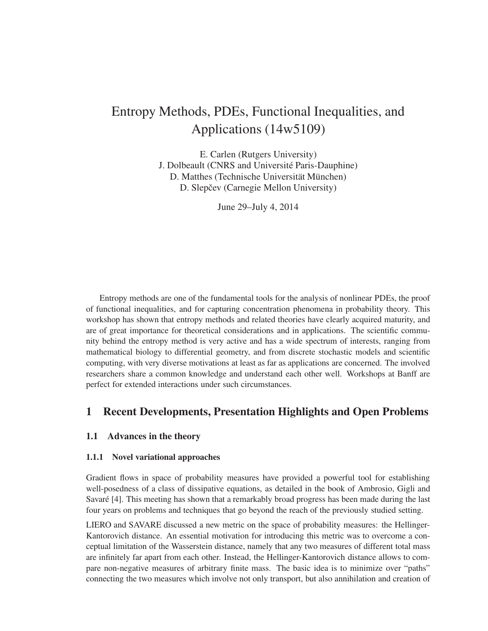# Entropy Methods, PDEs, Functional Inequalities, and Applications (14w5109)

E. Carlen (Rutgers University) J. Dolbeault (CNRS and Université Paris-Dauphine) D. Matthes (Technische Universität München) D. Slepčev (Carnegie Mellon University)

June 29–July 4, 2014

Entropy methods are one of the fundamental tools for the analysis of nonlinear PDEs, the proof of functional inequalities, and for capturing concentration phenomena in probability theory. This workshop has shown that entropy methods and related theories have clearly acquired maturity, and are of great importance for theoretical considerations and in applications. The scientific community behind the entropy method is very active and has a wide spectrum of interests, ranging from mathematical biology to differential geometry, and from discrete stochastic models and scientific computing, with very diverse motivations at least as far as applications are concerned. The involved researchers share a common knowledge and understand each other well. Workshops at Banff are perfect for extended interactions under such circumstances.

## 1 Recent Developments, Presentation Highlights and Open Problems

#### 1.1 Advances in the theory

#### 1.1.1 Novel variational approaches

Gradient flows in space of probability measures have provided a powerful tool for establishing well-posedness of a class of dissipative equations, as detailed in the book of Ambrosio, Gigli and Savaré [4]. This meeting has shown that a remarkably broad progress has been made during the last four years on problems and techniques that go beyond the reach of the previously studied setting.

LIERO and SAVARE discussed a new metric on the space of probability measures: the Hellinger-Kantorovich distance. An essential motivation for introducing this metric was to overcome a conceptual limitation of the Wasserstein distance, namely that any two measures of different total mass are infinitely far apart from each other. Instead, the Hellinger-Kantorovich distance allows to compare non-negative measures of arbitrary finite mass. The basic idea is to minimize over "paths" connecting the two measures which involve not only transport, but also annihilation and creation of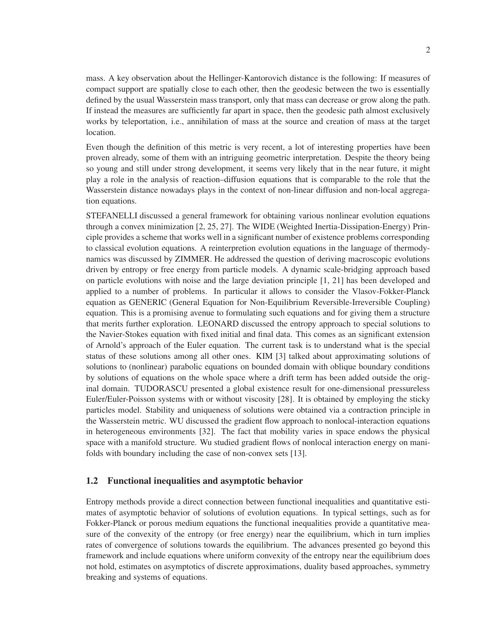mass. A key observation about the Hellinger-Kantorovich distance is the following: If measures of compact support are spatially close to each other, then the geodesic between the two is essentially defined by the usual Wasserstein mass transport, only that mass can decrease or grow along the path. If instead the measures are sufficiently far apart in space, then the geodesic path almost exclusively works by teleportation, i.e., annihilation of mass at the source and creation of mass at the target location.

Even though the definition of this metric is very recent, a lot of interesting properties have been proven already, some of them with an intriguing geometric interpretation. Despite the theory being so young and still under strong development, it seems very likely that in the near future, it might play a role in the analysis of reaction–diffusion equations that is comparable to the role that the Wasserstein distance nowadays plays in the context of non-linear diffusion and non-local aggregation equations.

STEFANELLI discussed a general framework for obtaining various nonlinear evolution equations through a convex minimization [2, 25, 27]. The WIDE (Weighted Inertia-Dissipation-Energy) Principle provides a scheme that works well in a significant number of existence problems corresponding to classical evolution equations. A reinterpretion evolution equations in the language of thermodynamics was discussed by ZIMMER. He addressed the question of deriving macroscopic evolutions driven by entropy or free energy from particle models. A dynamic scale-bridging approach based on particle evolutions with noise and the large deviation principle [1, 21] has been developed and applied to a number of problems. In particular it allows to consider the Vlasov-Fokker-Planck equation as GENERIC (General Equation for Non-Equilibrium Reversible-Irreversible Coupling) equation. This is a promising avenue to formulating such equations and for giving them a structure that merits further exploration. LEONARD discussed the entropy approach to special solutions to the Navier-Stokes equation with fixed initial and final data. This comes as an significant extension of Arnold's approach of the Euler equation. The current task is to understand what is the special status of these solutions among all other ones. KIM [3] talked about approximating solutions of solutions to (nonlinear) parabolic equations on bounded domain with oblique boundary conditions by solutions of equations on the whole space where a drift term has been added outside the original domain. TUDORASCU presented a global existence result for one-dimensional pressureless Euler/Euler-Poisson systems with or without viscosity [28]. It is obtained by employing the sticky particles model. Stability and uniqueness of solutions were obtained via a contraction principle in the Wasserstein metric. WU discussed the gradient flow approach to nonlocal-interaction equations in heterogeneous environments [32]. The fact that mobility varies in space endows the physical space with a manifold structure. Wu studied gradient flows of nonlocal interaction energy on manifolds with boundary including the case of non-convex sets [13].

#### 1.2 Functional inequalities and asymptotic behavior

Entropy methods provide a direct connection between functional inequalities and quantitative estimates of asymptotic behavior of solutions of evolution equations. In typical settings, such as for Fokker-Planck or porous medium equations the functional inequalities provide a quantitative measure of the convexity of the entropy (or free energy) near the equilibrium, which in turn implies rates of convergence of solutions towards the equilibrium. The advances presented go beyond this framework and include equations where uniform convexity of the entropy near the equilibrium does not hold, estimates on asymptotics of discrete approximations, duality based approaches, symmetry breaking and systems of equations.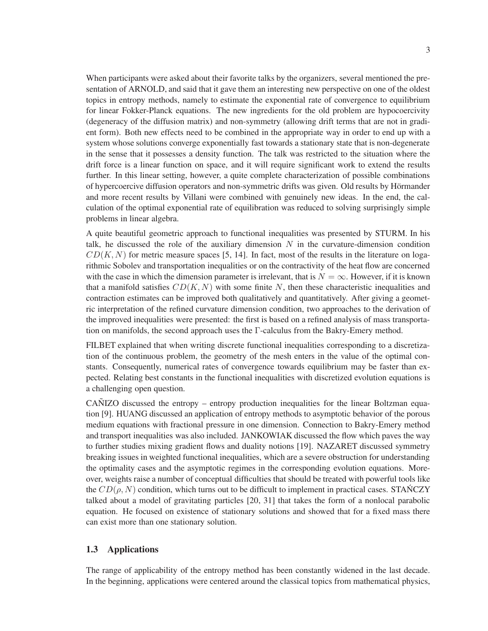When participants were asked about their favorite talks by the organizers, several mentioned the presentation of ARNOLD, and said that it gave them an interesting new perspective on one of the oldest topics in entropy methods, namely to estimate the exponential rate of convergence to equilibrium for linear Fokker-Planck equations. The new ingredients for the old problem are hypocoercivity (degeneracy of the diffusion matrix) and non-symmetry (allowing drift terms that are not in gradient form). Both new effects need to be combined in the appropriate way in order to end up with a system whose solutions converge exponentially fast towards a stationary state that is non-degenerate in the sense that it possesses a density function. The talk was restricted to the situation where the drift force is a linear function on space, and it will require significant work to extend the results further. In this linear setting, however, a quite complete characterization of possible combinations of hypercoercive diffusion operators and non-symmetric drifts was given. Old results by Hörmander and more recent results by Villani were combined with genuinely new ideas. In the end, the calculation of the optimal exponential rate of equilibration was reduced to solving surprisingly simple problems in linear algebra.

A quite beautiful geometric approach to functional inequalities was presented by STURM. In his talk, he discussed the role of the auxiliary dimension  $N$  in the curvature-dimension condition  $CD(K, N)$  for metric measure spaces [5, 14]. In fact, most of the results in the literature on logarithmic Sobolev and transportation inequalities or on the contractivity of the heat flow are concerned with the case in which the dimension parameter is irrelevant, that is  $N = \infty$ . However, if it is known that a manifold satisfies  $CD(K, N)$  with some finite N, then these characteristic inequalities and contraction estimates can be improved both qualitatively and quantitatively. After giving a geometric interpretation of the refined curvature dimension condition, two approaches to the derivation of the improved inequalities were presented: the first is based on a refined analysis of mass transportation on manifolds, the second approach uses the Γ-calculus from the Bakry-Emery method.

FILBET explained that when writing discrete functional inequalities corresponding to a discretization of the continuous problem, the geometry of the mesh enters in the value of the optimal constants. Consequently, numerical rates of convergence towards equilibrium may be faster than expected. Relating best constants in the functional inequalities with discretized evolution equations is a challenging open question.

 $CA\overline{N}$ IZO discussed the entropy – entropy production inequalities for the linear Boltzman equation [9]. HUANG discussed an application of entropy methods to asymptotic behavior of the porous medium equations with fractional pressure in one dimension. Connection to Bakry-Emery method and transport inequalities was also included. JANKOWIAK discussed the flow which paves the way to further studies mixing gradient flows and duality notions [19]. NAZARET discussed symmetry breaking issues in weighted functional inequalities, which are a severe obstruction for understanding the optimality cases and the asymptotic regimes in the corresponding evolution equations. Moreover, weights raise a number of conceptual difficulties that should be treated with powerful tools like the  $CD(\rho, N)$  condition, which turns out to be difficult to implement in practical cases. STANCZY talked about a model of gravitating particles [20, 31] that takes the form of a nonlocal parabolic equation. He focused on existence of stationary solutions and showed that for a fixed mass there can exist more than one stationary solution.

#### 1.3 Applications

The range of applicability of the entropy method has been constantly widened in the last decade. In the beginning, applications were centered around the classical topics from mathematical physics,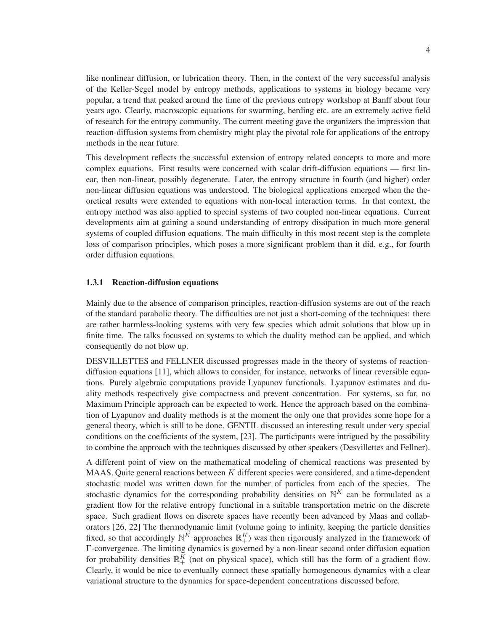like nonlinear diffusion, or lubrication theory. Then, in the context of the very successful analysis of the Keller-Segel model by entropy methods, applications to systems in biology became very popular, a trend that peaked around the time of the previous entropy workshop at Banff about four years ago. Clearly, macroscopic equations for swarming, herding etc. are an extremely active field of research for the entropy community. The current meeting gave the organizers the impression that reaction-diffusion systems from chemistry might play the pivotal role for applications of the entropy methods in the near future.

This development reflects the successful extension of entropy related concepts to more and more complex equations. First results were concerned with scalar drift-diffusion equations — first linear, then non-linear, possibly degenerate. Later, the entropy structure in fourth (and higher) order non-linear diffusion equations was understood. The biological applications emerged when the theoretical results were extended to equations with non-local interaction terms. In that context, the entropy method was also applied to special systems of two coupled non-linear equations. Current developments aim at gaining a sound understanding of entropy dissipation in much more general systems of coupled diffusion equations. The main difficulty in this most recent step is the complete loss of comparison principles, which poses a more significant problem than it did, e.g., for fourth order diffusion equations.

#### 1.3.1 Reaction-diffusion equations

Mainly due to the absence of comparison principles, reaction-diffusion systems are out of the reach of the standard parabolic theory. The difficulties are not just a short-coming of the techniques: there are rather harmless-looking systems with very few species which admit solutions that blow up in finite time. The talks focussed on systems to which the duality method can be applied, and which consequently do not blow up.

DESVILLETTES and FELLNER discussed progresses made in the theory of systems of reactiondiffusion equations [11], which allows to consider, for instance, networks of linear reversible equations. Purely algebraic computations provide Lyapunov functionals. Lyapunov estimates and duality methods respectively give compactness and prevent concentration. For systems, so far, no Maximum Principle approach can be expected to work. Hence the approach based on the combination of Lyapunov and duality methods is at the moment the only one that provides some hope for a general theory, which is still to be done. GENTIL discussed an interesting result under very special conditions on the coefficients of the system, [23]. The participants were intrigued by the possibility to combine the approach with the techniques discussed by other speakers (Desvillettes and Fellner).

A different point of view on the mathematical modeling of chemical reactions was presented by MAAS. Quite general reactions between  $K$  different species were considered, and a time-dependent stochastic model was written down for the number of particles from each of the species. The stochastic dynamics for the corresponding probability densities on  $\mathbb{N}^K$  can be formulated as a gradient flow for the relative entropy functional in a suitable transportation metric on the discrete space. Such gradient flows on discrete spaces have recently been advanced by Maas and collaborators [26, 22] The thermodynamic limit (volume going to infinity, keeping the particle densities fixed, so that accordingly  $\mathbb{N}^K$  approaches  $\mathbb{R}^K_+$ ) was then rigorously analyzed in the framework of Γ-convergence. The limiting dynamics is governed by a non-linear second order diffusion equation for probability densities  $\mathbb{R}^K_+$  (not on physical space), which still has the form of a gradient flow. Clearly, it would be nice to eventually connect these spatially homogeneous dynamics with a clear variational structure to the dynamics for space-dependent concentrations discussed before.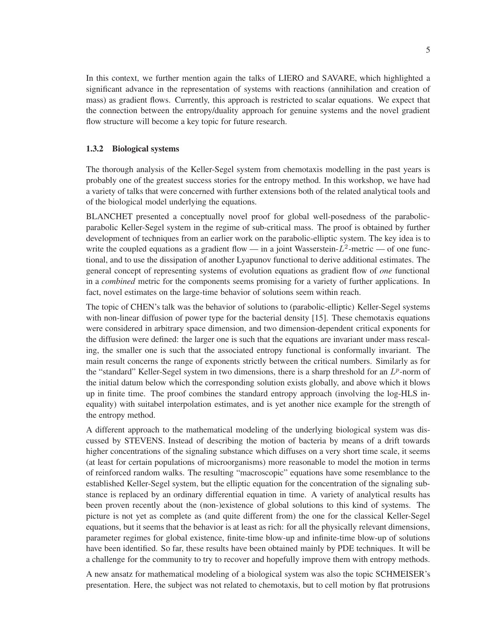In this context, we further mention again the talks of LIERO and SAVARE, which highlighted a significant advance in the representation of systems with reactions (annihilation and creation of mass) as gradient flows. Currently, this approach is restricted to scalar equations. We expect that the connection between the entropy/duality approach for genuine systems and the novel gradient flow structure will become a key topic for future research.

#### 1.3.2 Biological systems

The thorough analysis of the Keller-Segel system from chemotaxis modelling in the past years is probably one of the greatest success stories for the entropy method. In this workshop, we have had a variety of talks that were concerned with further extensions both of the related analytical tools and of the biological model underlying the equations.

BLANCHET presented a conceptually novel proof for global well-posedness of the parabolicparabolic Keller-Segel system in the regime of sub-critical mass. The proof is obtained by further development of techniques from an earlier work on the parabolic-elliptic system. The key idea is to write the coupled equations as a gradient flow — in a joint Wasserstein- $L^2$ -metric — of one functional, and to use the dissipation of another Lyapunov functional to derive additional estimates. The general concept of representing systems of evolution equations as gradient flow of *one* functional in a *combined* metric for the components seems promising for a variety of further applications. In fact, novel estimates on the large-time behavior of solutions seem within reach.

The topic of CHEN's talk was the behavior of solutions to (parabolic-elliptic) Keller-Segel systems with non-linear diffusion of power type for the bacterial density [15]. These chemotaxis equations were considered in arbitrary space dimension, and two dimension-dependent critical exponents for the diffusion were defined: the larger one is such that the equations are invariant under mass rescaling, the smaller one is such that the associated entropy functional is conformally invariant. The main result concerns the range of exponents strictly between the critical numbers. Similarly as for the "standard" Keller-Segel system in two dimensions, there is a sharp threshold for an  $L^p$ -norm of the initial datum below which the corresponding solution exists globally, and above which it blows up in finite time. The proof combines the standard entropy approach (involving the log-HLS inequality) with suitabel interpolation estimates, and is yet another nice example for the strength of the entropy method.

A different approach to the mathematical modeling of the underlying biological system was discussed by STEVENS. Instead of describing the motion of bacteria by means of a drift towards higher concentrations of the signaling substance which diffuses on a very short time scale, it seems (at least for certain populations of microorganisms) more reasonable to model the motion in terms of reinforced random walks. The resulting "macroscopic" equations have some resemblance to the established Keller-Segel system, but the elliptic equation for the concentration of the signaling substance is replaced by an ordinary differential equation in time. A variety of analytical results has been proven recently about the (non-)existence of global solutions to this kind of systems. The picture is not yet as complete as (and quite different from) the one for the classical Keller-Segel equations, but it seems that the behavior is at least as rich: for all the physically relevant dimensions, parameter regimes for global existence, finite-time blow-up and infinite-time blow-up of solutions have been identified. So far, these results have been obtained mainly by PDE techniques. It will be a challenge for the community to try to recover and hopefully improve them with entropy methods.

A new ansatz for mathematical modeling of a biological system was also the topic SCHMEISER's presentation. Here, the subject was not related to chemotaxis, but to cell motion by flat protrusions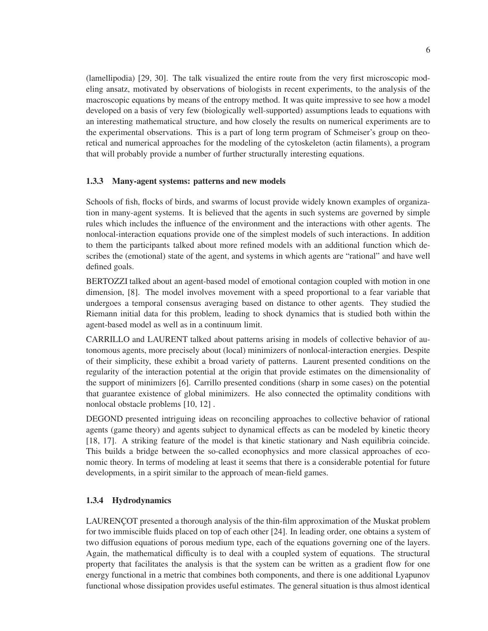(lamellipodia) [29, 30]. The talk visualized the entire route from the very first microscopic modeling ansatz, motivated by observations of biologists in recent experiments, to the analysis of the macroscopic equations by means of the entropy method. It was quite impressive to see how a model developed on a basis of very few (biologically well-supported) assumptions leads to equations with an interesting mathematical structure, and how closely the results on numerical experiments are to the experimental observations. This is a part of long term program of Schmeiser's group on theoretical and numerical approaches for the modeling of the cytoskeleton (actin filaments), a program that will probably provide a number of further structurally interesting equations.

#### 1.3.3 Many-agent systems: patterns and new models

Schools of fish, flocks of birds, and swarms of locust provide widely known examples of organization in many-agent systems. It is believed that the agents in such systems are governed by simple rules which includes the influence of the environment and the interactions with other agents. The nonlocal-interaction equations provide one of the simplest models of such interactions. In addition to them the participants talked about more refined models with an additional function which describes the (emotional) state of the agent, and systems in which agents are "rational" and have well defined goals.

BERTOZZI talked about an agent-based model of emotional contagion coupled with motion in one dimension, [8]. The model involves movement with a speed proportional to a fear variable that undergoes a temporal consensus averaging based on distance to other agents. They studied the Riemann initial data for this problem, leading to shock dynamics that is studied both within the agent-based model as well as in a continuum limit.

CARRILLO and LAURENT talked about patterns arising in models of collective behavior of autonomous agents, more precisely about (local) minimizers of nonlocal-interaction energies. Despite of their simplicity, these exhibit a broad variety of patterns. Laurent presented conditions on the regularity of the interaction potential at the origin that provide estimates on the dimensionality of the support of minimizers [6]. Carrillo presented conditions (sharp in some cases) on the potential that guarantee existence of global minimizers. He also connected the optimality conditions with nonlocal obstacle problems [10, 12] .

DEGOND presented intriguing ideas on reconciling approaches to collective behavior of rational agents (game theory) and agents subject to dynamical effects as can be modeled by kinetic theory [18, 17]. A striking feature of the model is that kinetic stationary and Nash equilibria coincide. This builds a bridge between the so-called econophysics and more classical approaches of economic theory. In terms of modeling at least it seems that there is a considerable potential for future developments, in a spirit similar to the approach of mean-field games.

## 1.3.4 Hydrodynamics

LAURENÇOT presented a thorough analysis of the thin-film approximation of the Muskat problem for two immiscible fluids placed on top of each other [24]. In leading order, one obtains a system of two diffusion equations of porous medium type, each of the equations governing one of the layers. Again, the mathematical difficulty is to deal with a coupled system of equations. The structural property that facilitates the analysis is that the system can be written as a gradient flow for one energy functional in a metric that combines both components, and there is one additional Lyapunov functional whose dissipation provides useful estimates. The general situation is thus almost identical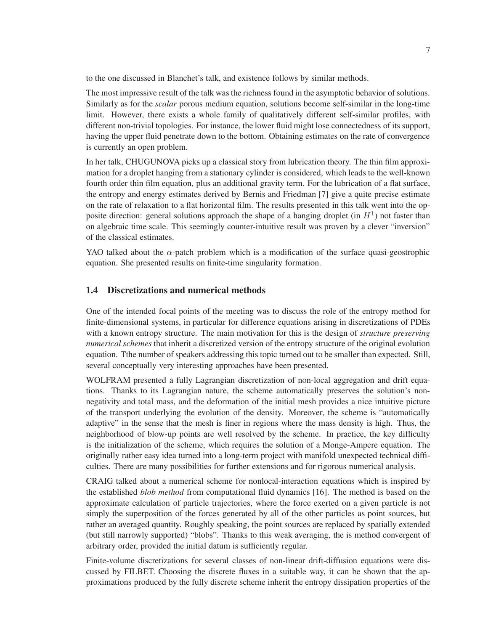to the one discussed in Blanchet's talk, and existence follows by similar methods.

The most impressive result of the talk was the richness found in the asymptotic behavior of solutions. Similarly as for the *scalar* porous medium equation, solutions become self-similar in the long-time limit. However, there exists a whole family of qualitatively different self-similar profiles, with different non-trivial topologies. For instance, the lower fluid might lose connectedness of its support, having the upper fluid penetrate down to the bottom. Obtaining estimates on the rate of convergence is currently an open problem.

In her talk, CHUGUNOVA picks up a classical story from lubrication theory. The thin film approximation for a droplet hanging from a stationary cylinder is considered, which leads to the well-known fourth order thin film equation, plus an additional gravity term. For the lubrication of a flat surface, the entropy and energy estimates derived by Bernis and Friedman [7] give a quite precise estimate on the rate of relaxation to a flat horizontal film. The results presented in this talk went into the opposite direction: general solutions approach the shape of a hanging droplet (in  $H<sup>1</sup>$ ) not faster than on algebraic time scale. This seemingly counter-intuitive result was proven by a clever "inversion" of the classical estimates.

YAO talked about the  $\alpha$ -patch problem which is a modification of the surface quasi-geostrophic equation. She presented results on finite-time singularity formation.

### 1.4 Discretizations and numerical methods

One of the intended focal points of the meeting was to discuss the role of the entropy method for finite-dimensional systems, in particular for difference equations arising in discretizations of PDEs with a known entropy structure. The main motivation for this is the design of *structure preserving numerical schemes* that inherit a discretized version of the entropy structure of the original evolution equation. Tthe number of speakers addressing this topic turned out to be smaller than expected. Still, several conceptually very interesting approaches have been presented.

WOLFRAM presented a fully Lagrangian discretization of non-local aggregation and drift equations. Thanks to its Lagrangian nature, the scheme automatically preserves the solution's nonnegativity and total mass, and the deformation of the initial mesh provides a nice intuitive picture of the transport underlying the evolution of the density. Moreover, the scheme is "automatically adaptive" in the sense that the mesh is finer in regions where the mass density is high. Thus, the neighborhood of blow-up points are well resolved by the scheme. In practice, the key difficulty is the initialization of the scheme, which requires the solution of a Monge-Ampere equation. The originally rather easy idea turned into a long-term project with manifold unexpected technical difficulties. There are many possibilities for further extensions and for rigorous numerical analysis.

CRAIG talked about a numerical scheme for nonlocal-interaction equations which is inspired by the established *blob method* from computational fluid dynamics [16]. The method is based on the approximate calculation of particle trajectories, where the force exerted on a given particle is not simply the superposition of the forces generated by all of the other particles as point sources, but rather an averaged quantity. Roughly speaking, the point sources are replaced by spatially extended (but still narrowly supported) "blobs". Thanks to this weak averaging, the is method convergent of arbitrary order, provided the initial datum is sufficiently regular.

Finite-volume discretizations for several classes of non-linear drift-diffusion equations were discussed by FILBET. Choosing the discrete fluxes in a suitable way, it can be shown that the approximations produced by the fully discrete scheme inherit the entropy dissipation properties of the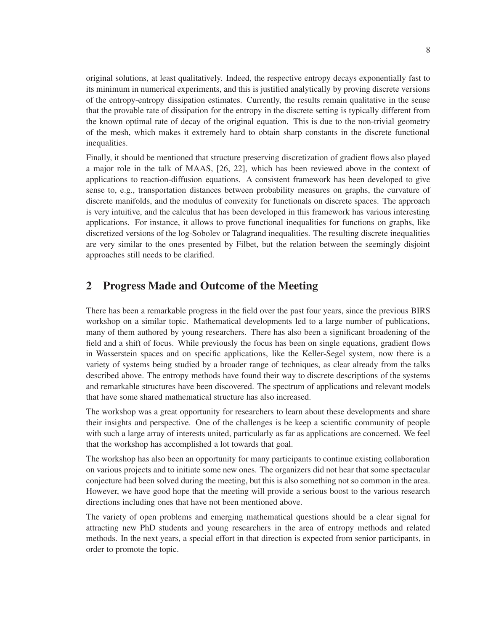original solutions, at least qualitatively. Indeed, the respective entropy decays exponentially fast to its minimum in numerical experiments, and this is justified analytically by proving discrete versions of the entropy-entropy dissipation estimates. Currently, the results remain qualitative in the sense that the provable rate of dissipation for the entropy in the discrete setting is typically different from the known optimal rate of decay of the original equation. This is due to the non-trivial geometry of the mesh, which makes it extremely hard to obtain sharp constants in the discrete functional inequalities.

Finally, it should be mentioned that structure preserving discretization of gradient flows also played a major role in the talk of MAAS, [26, 22], which has been reviewed above in the context of applications to reaction-diffusion equations. A consistent framework has been developed to give sense to, e.g., transportation distances between probability measures on graphs, the curvature of discrete manifolds, and the modulus of convexity for functionals on discrete spaces. The approach is very intuitive, and the calculus that has been developed in this framework has various interesting applications. For instance, it allows to prove functional inequalities for functions on graphs, like discretized versions of the log-Sobolev or Talagrand inequalities. The resulting discrete inequalities are very similar to the ones presented by Filbet, but the relation between the seemingly disjoint approaches still needs to be clarified.

# 2 Progress Made and Outcome of the Meeting

There has been a remarkable progress in the field over the past four years, since the previous BIRS workshop on a similar topic. Mathematical developments led to a large number of publications, many of them authored by young researchers. There has also been a significant broadening of the field and a shift of focus. While previously the focus has been on single equations, gradient flows in Wasserstein spaces and on specific applications, like the Keller-Segel system, now there is a variety of systems being studied by a broader range of techniques, as clear already from the talks described above. The entropy methods have found their way to discrete descriptions of the systems and remarkable structures have been discovered. The spectrum of applications and relevant models that have some shared mathematical structure has also increased.

The workshop was a great opportunity for researchers to learn about these developments and share their insights and perspective. One of the challenges is be keep a scientific community of people with such a large array of interests united, particularly as far as applications are concerned. We feel that the workshop has accomplished a lot towards that goal.

The workshop has also been an opportunity for many participants to continue existing collaboration on various projects and to initiate some new ones. The organizers did not hear that some spectacular conjecture had been solved during the meeting, but this is also something not so common in the area. However, we have good hope that the meeting will provide a serious boost to the various research directions including ones that have not been mentioned above.

The variety of open problems and emerging mathematical questions should be a clear signal for attracting new PhD students and young researchers in the area of entropy methods and related methods. In the next years, a special effort in that direction is expected from senior participants, in order to promote the topic.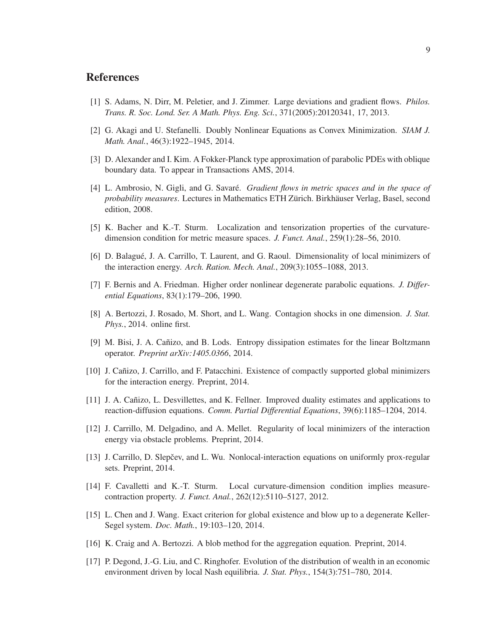## **References**

- [1] S. Adams, N. Dirr, M. Peletier, and J. Zimmer. Large deviations and gradient flows. *Philos. Trans. R. Soc. Lond. Ser. A Math. Phys. Eng. Sci.*, 371(2005):20120341, 17, 2013.
- [2] G. Akagi and U. Stefanelli. Doubly Nonlinear Equations as Convex Minimization. *SIAM J. Math. Anal.*, 46(3):1922–1945, 2014.
- [3] D. Alexander and I. Kim. A Fokker-Planck type approximation of parabolic PDEs with oblique boundary data. To appear in Transactions AMS, 2014.
- [4] L. Ambrosio, N. Gigli, and G. Savar´e. *Gradient flows in metric spaces and in the space of probability measures*. Lectures in Mathematics ETH Zürich. Birkhäuser Verlag, Basel, second edition, 2008.
- [5] K. Bacher and K.-T. Sturm. Localization and tensorization properties of the curvaturedimension condition for metric measure spaces. *J. Funct. Anal.*, 259(1):28–56, 2010.
- [6] D. Balagué, J. A. Carrillo, T. Laurent, and G. Raoul. Dimensionality of local minimizers of the interaction energy. *Arch. Ration. Mech. Anal.*, 209(3):1055–1088, 2013.
- [7] F. Bernis and A. Friedman. Higher order nonlinear degenerate parabolic equations. *J. Differential Equations*, 83(1):179–206, 1990.
- [8] A. Bertozzi, J. Rosado, M. Short, and L. Wang. Contagion shocks in one dimension. *J. Stat. Phys.*, 2014. online first.
- [9] M. Bisi, J. A. Cañizo, and B. Lods. Entropy dissipation estimates for the linear Boltzmann operator. *Preprint arXiv:1405.0366*, 2014.
- [10] J. Cañizo, J. Carrillo, and F. Patacchini. Existence of compactly supported global minimizers for the interaction energy. Preprint, 2014.
- [11] J. A. Cañizo, L. Desvillettes, and K. Fellner. Improved duality estimates and applications to reaction-diffusion equations. *Comm. Partial Differential Equations*, 39(6):1185–1204, 2014.
- [12] J. Carrillo, M. Delgadino, and A. Mellet. Regularity of local minimizers of the interaction energy via obstacle problems. Preprint, 2014.
- [13] J. Carrillo, D. Slepčev, and L. Wu. Nonlocal-interaction equations on uniformly prox-regular sets. Preprint, 2014.
- [14] F. Cavalletti and K.-T. Sturm. Local curvature-dimension condition implies measurecontraction property. *J. Funct. Anal.*, 262(12):5110–5127, 2012.
- [15] L. Chen and J. Wang. Exact criterion for global existence and blow up to a degenerate Keller-Segel system. *Doc. Math.*, 19:103–120, 2014.
- [16] K. Craig and A. Bertozzi. A blob method for the aggregation equation. Preprint, 2014.
- [17] P. Degond, J.-G. Liu, and C. Ringhofer. Evolution of the distribution of wealth in an economic environment driven by local Nash equilibria. *J. Stat. Phys.*, 154(3):751–780, 2014.